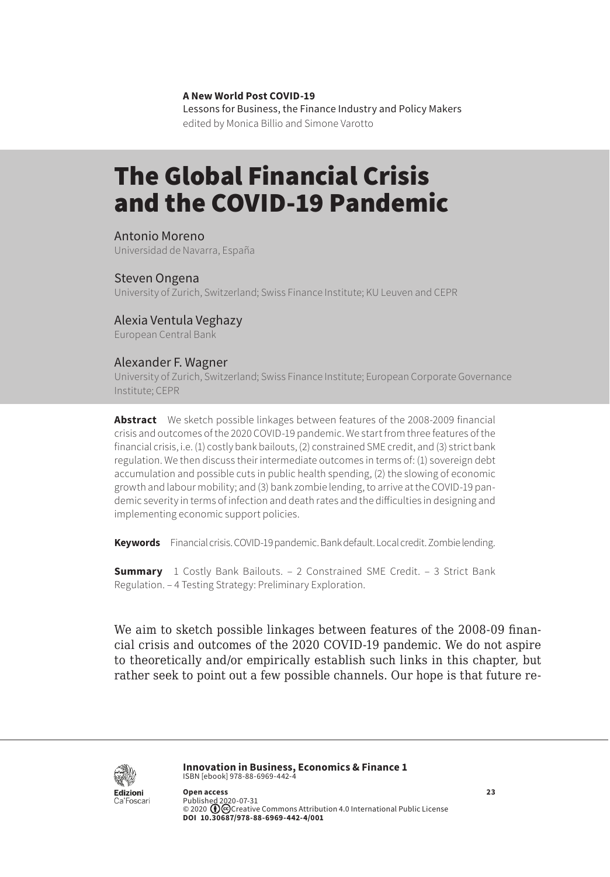**A New World Post COVID-19** Lessons for Business, the Finance Industry and Policy Makers

edited by Monica Billio and Simone Varotto

# The Global Financial Crisis and the COVID-19 Pandemic

Antonio Moreno Universidad de Navarra, España

#### Steven Ongena

University of Zurich, Switzerland; Swiss Finance Institute; KU Leuven and CEPR

#### Alexia Ventula Veghazy

European Central Bank

#### Alexander F. Wagner

University of Zurich, Switzerland; Swiss Finance Institute; European Corporate Governance Institute; CEPR

**Abstract** We sketch possible linkages between features of the 2008-2009 financial crisis and outcomes of the 2020 COVID-19 pandemic. We start from three features of the financial crisis, i.e. (1) costly bank bailouts, (2) constrained SME credit, and (3) strict bank regulation. We then discuss their intermediate outcomes in terms of: (1) sovereign debt accumulation and possible cuts in public health spending, (2) the slowing of economic growth and labour mobility; and (3) bank zombie lending, to arrive at the COVID-19 pandemic severity in terms of infection and death rates and the difficulties in designing and implementing economic support policies.

**Keywords** Financial crisis. COVID-19 pandemic. Bank default. Local credit. Zombie lending.

**Summary** [1 Costly Bank Bailouts.](#page-2-0) - [2 Constrained SME Credit.](#page-3-0) - 3 Strict Bank [Regulation.](#page-4-0) – [4 Testing Strategy: Preliminary Exploration](#page-5-0).

We aim to sketch possible linkages between features of the 2008-09 financial crisis and outcomes of the 2020 COVID-19 pandemic. We do not aspire to theoretically and/or empirically establish such links in this chapter, but rather seek to point out a few possible channels. Our hope is that future re-



**Innovation in Business, Economics & Finance 1** ISBN [ebook] 978-88-6969-442-4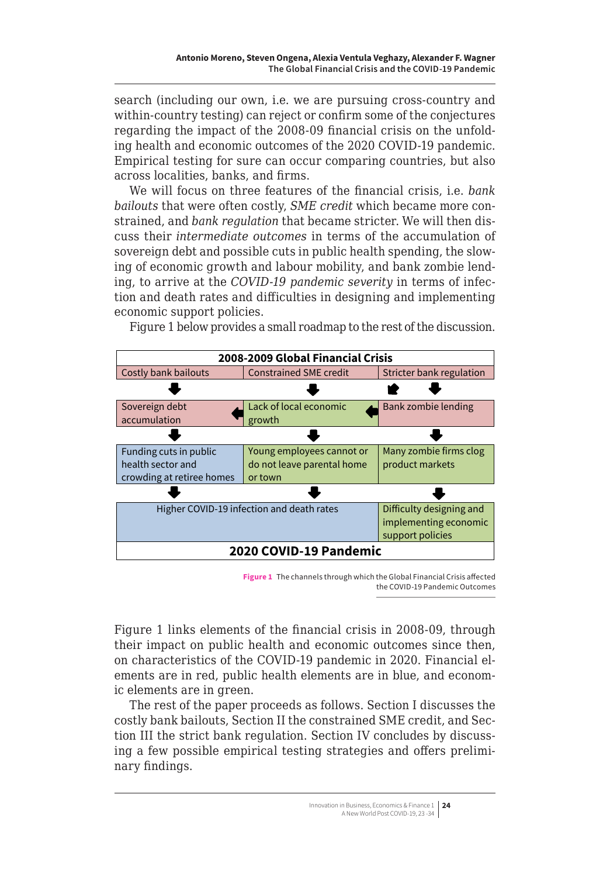search (including our own, i.e. we are pursuing cross-country and within-country testing) can reject or confirm some of the conjectures regarding the impact of the 2008-09 financial crisis on the unfolding health and economic outcomes of the 2020 COVID-19 pandemic. Empirical testing for sure can occur comparing countries, but also across localities, banks, and firms.

We will focus on three features of the financial crisis, i.e. *bank bailouts* that were often costly, *SME credit* which became more constrained, and *bank regulation* that became stricter. We will then discuss their *intermediate outcomes* in terms of the accumulation of sovereign debt and possible cuts in public health spending, the slowing of economic growth and labour mobility, and bank zombie lending, to arrive at the *COVID-19 pandemic severity* in terms of infection and death rates and difficulties in designing and implementing economic support policies.

Figure 1 below provides a small roadmap to the rest of the discussion.



**Figure 1** The channels through which the Global Financial Crisis affected the COVID-19 Pandemic Outcomes

their impact on public health and economic outcomes since then, ements are in red, public health elements are in blue, and econom-Figure 1 links elements of the financial crisis in 2008-09, through on characteristics of the COVID-19 pandemic in 2020. Financial elic elements are in green.

**pandemic in 2020.** Financial elements are in red, public health elements are in blue, and

The rest of the paper proceeds as follows. Section I discusses the costly bank bailouts, Section II the constrained SME credit, and Secing a few possible empirical testing strategies and offers prelimi-<br>nary findings tion III the strict bank regulation. Section IV concludes by discussnary findings.

Bank bailouts are complex phenomena.1

In Berger, Nistor, Ongena and Tsyplakov (2020)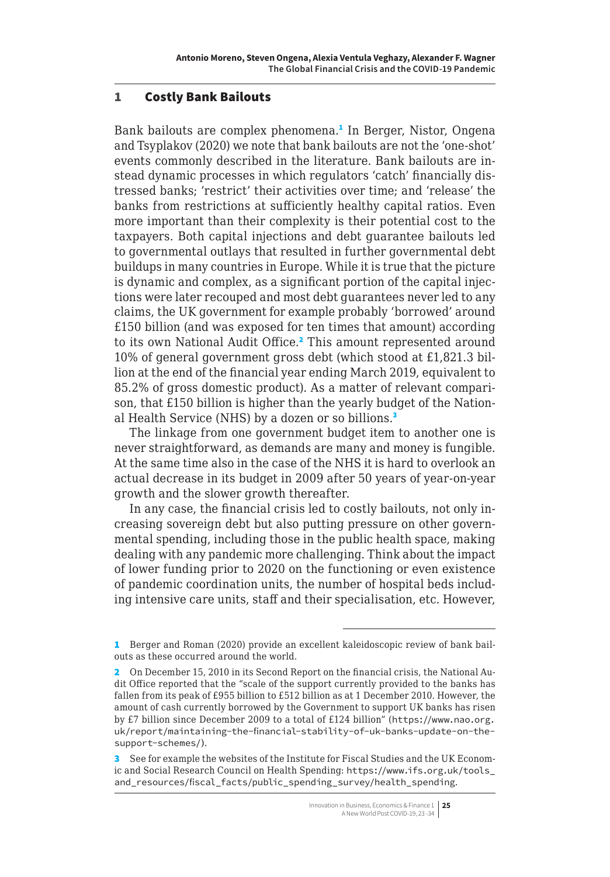## <span id="page-2-0"></span>1 Costly Bank Bailouts

Bank bailouts are complex phenomena.<sup>1</sup> In Berger, Nistor, Ongena and Tsyplakov (2020) we note that bank bailouts are not the 'one-shot' events commonly described in the literature. Bank bailouts are instead dynamic processes in which regulators 'catch' financially distressed banks; 'restrict' their activities over time; and 'release' the banks from restrictions at sufficiently healthy capital ratios. Even more important than their complexity is their potential cost to the taxpayers. Both capital injections and debt guarantee bailouts led to governmental outlays that resulted in further governmental debt buildups in many countries in Europe. While it is true that the picture is dynamic and complex, as a significant portion of the capital injections were later recouped and most debt guarantees never led to any claims, the UK government for example probably 'borrowed' around £150 billion (and was exposed for ten times that amount) according to its own National Audit Office.<sup>2</sup> This amount represented around 10% of general government gross debt (which stood at £1,821.3 billion at the end of the financial year ending March 2019, equivalent to 85.2% of gross domestic product). As a matter of relevant comparison, that £150 billion is higher than the yearly budget of the National Health Service (NHS) by a dozen or so billions.<sup>3</sup>

The linkage from one government budget item to another one is never straightforward, as demands are many and money is fungible. At the same time also in the case of the NHS it is hard to overlook an actual decrease in its budget in 2009 after 50 years of year-on-year growth and the slower growth thereafter.

In any case, the financial crisis led to costly bailouts, not only increasing sovereign debt but also putting pressure on other governmental spending, including those in the public health space, making dealing with any pandemic more challenging. Think about the impact of lower funding prior to 2020 on the functioning or even existence of pandemic coordination units, the number of hospital beds including intensive care units, staff and their specialisation, etc. However,

<sup>1</sup> Berger and Roman (2020) provide an excellent kaleidoscopic review of bank bailouts as these occurred around the world.

<sup>2</sup> On December 15, 2010 in its Second Report on the financial crisis, the National Audit Office reported that the "scale of the support currently provided to the banks has fallen from its peak of £955 billion to £512 billion as at 1 December 2010. However, the amount of cash currently borrowed by the Government to support UK banks has risen by £7 billion since December 2009 to a total of £124 billion" ([https://www.nao.org.](https://www.nao.org.uk/report/maintaining-the-financial-stability-of-uk-banks-update-on-the-support-schemes/) [uk/report/maintaining-the-financial-stability-of-uk-banks-update-on-the](https://www.nao.org.uk/report/maintaining-the-financial-stability-of-uk-banks-update-on-the-support-schemes/)[support-schemes/](https://www.nao.org.uk/report/maintaining-the-financial-stability-of-uk-banks-update-on-the-support-schemes/)).

<sup>3</sup> See for example the websites of the Institute for Fiscal Studies and the UK Economic and Social Research Council on Health Spending: [https://www.ifs.org.uk/tools\\_](https://www.ifs.org.uk/tools_and_resources/fiscal_facts/public_spending_survey/health_spending) [and\\_resources/fiscal\\_facts/public\\_spending\\_survey/health\\_spending](https://www.ifs.org.uk/tools_and_resources/fiscal_facts/public_spending_survey/health_spending).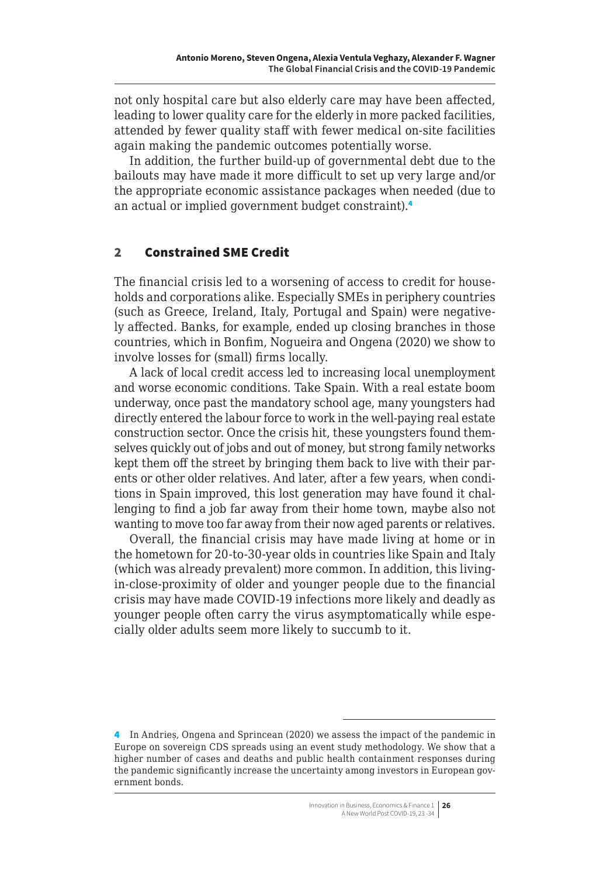<span id="page-3-0"></span>not only hospital care but also elderly care may have been affected, leading to lower quality care for the elderly in more packed facilities, attended by fewer quality staff with fewer medical on-site facilities again making the pandemic outcomes potentially worse.

In addition, the further build-up of governmental debt due to the bailouts may have made it more difficult to set up very large and/or the appropriate economic assistance packages when needed (due to an actual or implied government budget constraint).<sup>4</sup>

## 2 Constrained SME Credit

The financial crisis led to a worsening of access to credit for households and corporations alike. Especially SMEs in periphery countries (such as Greece, Ireland, Italy, Portugal and Spain) were negatively affected. Banks, for example, ended up closing branches in those countries, which in Bonfim, Nogueira and Ongena (2020) we show to involve losses for (small) firms locally.

A lack of local credit access led to increasing local unemployment and worse economic conditions. Take Spain. With a real estate boom underway, once past the mandatory school age, many youngsters had directly entered the labour force to work in the well-paying real estate construction sector. Once the crisis hit, these youngsters found themselves quickly out of jobs and out of money, but strong family networks kept them off the street by bringing them back to live with their parents or other older relatives. And later, after a few years, when conditions in Spain improved, this lost generation may have found it challenging to find a job far away from their home town, maybe also not wanting to move too far away from their now aged parents or relatives.

Overall, the financial crisis may have made living at home or in the hometown for 20-to-30-year olds in countries like Spain and Italy (which was already prevalent) more common. In addition, this livingin-close-proximity of older and younger people due to the financial crisis may have made COVID-19 infections more likely and deadly as younger people often carry the virus asymptomatically while especially older adults seem more likely to succumb to it.

<sup>4</sup> In Andrieș, Ongena and Sprincean (2020) we assess the impact of the pandemic in Europe on sovereign CDS spreads using an event study methodology. We show that a higher number of cases and deaths and public health containment responses during the pandemic significantly increase the uncertainty among investors in European government bonds.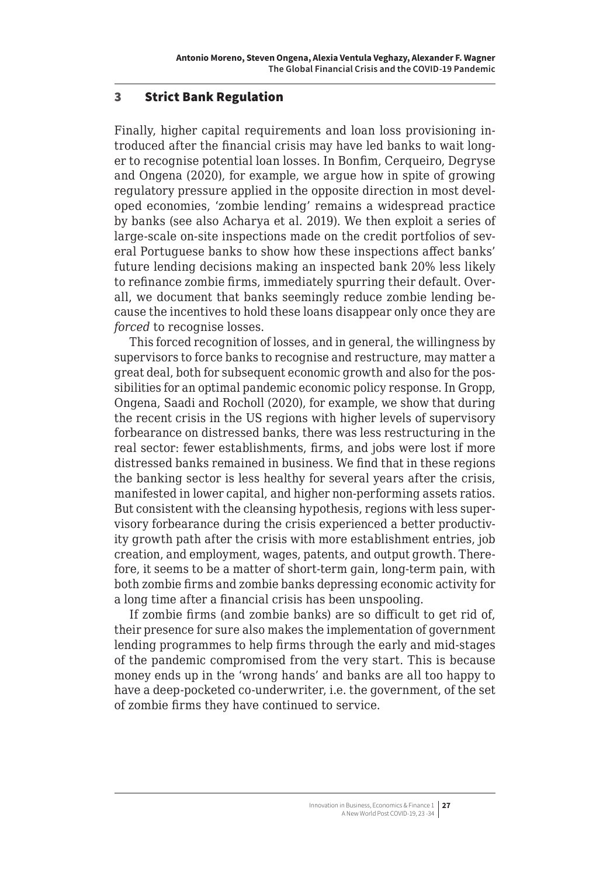#### <span id="page-4-0"></span>3 Strict Bank Regulation

Finally, higher capital requirements and loan loss provisioning introduced after the financial crisis may have led banks to wait longer to recognise potential loan losses. In Bonfim, Cerqueiro, Degryse and Ongena (2020), for example, we argue how in spite of growing regulatory pressure applied in the opposite direction in most developed economies, 'zombie lending' remains a widespread practice by banks (see also Acharya et al. 2019). We then exploit a series of large-scale on-site inspections made on the credit portfolios of several Portuguese banks to show how these inspections affect banks' future lending decisions making an inspected bank 20% less likely to refinance zombie firms, immediately spurring their default. Overall, we document that banks seemingly reduce zombie lending because the incentives to hold these loans disappear only once they are *forced* to recognise losses.

This forced recognition of losses, and in general, the willingness by supervisors to force banks to recognise and restructure, may matter a great deal, both for subsequent economic growth and also for the possibilities for an optimal pandemic economic policy response. In Gropp, Ongena, Saadi and Rocholl (2020), for example, we show that during the recent crisis in the US regions with higher levels of supervisory forbearance on distressed banks, there was less restructuring in the real sector: fewer establishments, firms, and jobs were lost if more distressed banks remained in business. We find that in these regions the banking sector is less healthy for several years after the crisis, manifested in lower capital, and higher non-performing assets ratios. But consistent with the cleansing hypothesis, regions with less supervisory forbearance during the crisis experienced a better productivity growth path after the crisis with more establishment entries, job creation, and employment, wages, patents, and output growth. Therefore, it seems to be a matter of short-term gain, long-term pain, with both zombie firms and zombie banks depressing economic activity for a long time after a financial crisis has been unspooling.

If zombie firms (and zombie banks) are so difficult to get rid of, their presence for sure also makes the implementation of government lending programmes to help firms through the early and mid-stages of the pandemic compromised from the very start. This is because money ends up in the 'wrong hands' and banks are all too happy to have a deep-pocketed co-underwriter, i.e. the government, of the set of zombie firms they have continued to service.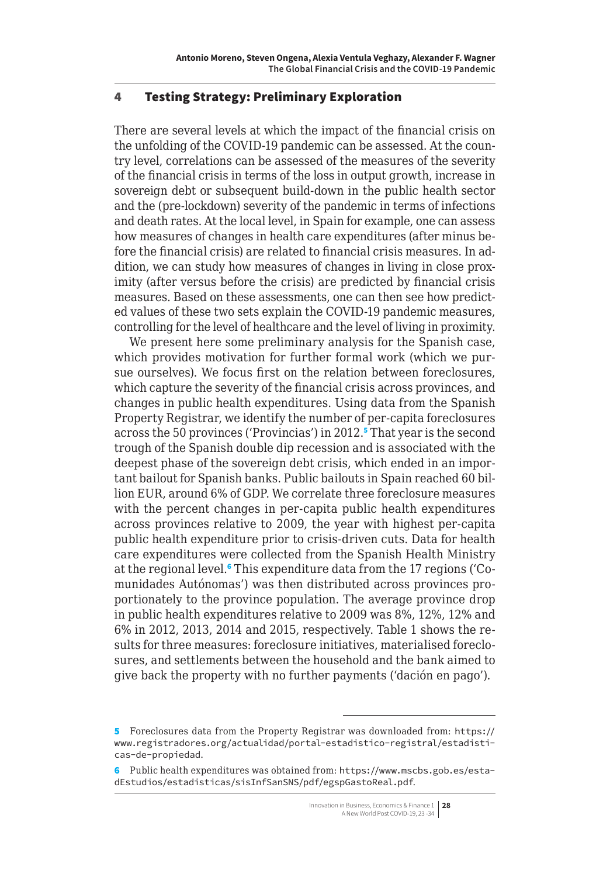#### <span id="page-5-0"></span>4 Testing Strategy: Preliminary Exploration

There are several levels at which the impact of the financial crisis on the unfolding of the COVID-19 pandemic can be assessed. At the country level, correlations can be assessed of the measures of the severity of the financial crisis in terms of the loss in output growth, increase in sovereign debt or subsequent build-down in the public health sector and the (pre-lockdown) severity of the pandemic in terms of infections and death rates. At the local level, in Spain for example, one can assess how measures of changes in health care expenditures (after minus before the financial crisis) are related to financial crisis measures. In addition, we can study how measures of changes in living in close proximity (after versus before the crisis) are predicted by financial crisis measures. Based on these assessments, one can then see how predicted values of these two sets explain the COVID-19 pandemic measures, controlling for the level of healthcare and the level of living in proximity.

We present here some preliminary analysis for the Spanish case, which provides motivation for further formal work (which we pursue ourselves). We focus first on the relation between foreclosures, which capture the severity of the financial crisis across provinces, and changes in public health expenditures. Using data from the Spanish Property Registrar, we identify the number of per-capita foreclosures across the 50 provinces ('Provincias') in 2012.<sup>5</sup> That year is the second trough of the Spanish double dip recession and is associated with the deepest phase of the sovereign debt crisis, which ended in an important bailout for Spanish banks. Public bailouts in Spain reached 60 billion EUR, around 6% of GDP. We correlate three foreclosure measures with the percent changes in per-capita public health expenditures across provinces relative to 2009, the year with highest per-capita public health expenditure prior to crisis-driven cuts. Data for health care expenditures were collected from the Spanish Health Ministry at the regional level.<sup>6</sup> This expenditure data from the 17 regions ('Comunidades Autónomas') was then distributed across provinces proportionately to the province population. The average province drop in public health expenditures relative to 2009 was 8%, 12%, 12% and 6% in 2012, 2013, 2014 and 2015, respectively. Table 1 shows the results for three measures: foreclosure initiatives, materialised foreclosures, and settlements between the household and the bank aimed to give back the property with no further payments ('dación en pago').

<sup>5</sup> Foreclosures data from the Property Registrar was downloaded from: [https://](https://www.registradores.org/actualidad/portal-estadistico-registral/estadisticas-de-propiedad) [www.registradores.org/actualidad/portal-estadistico-registral/estadisti](https://www.registradores.org/actualidad/portal-estadistico-registral/estadisticas-de-propiedad)[cas-de-propiedad](https://www.registradores.org/actualidad/portal-estadistico-registral/estadisticas-de-propiedad).

<sup>6</sup> Public health expenditures was obtained from: [https://www.mscbs.gob.es/esta](https://www.mscbs.gob.es/estadEstudios/estadisticas/sisInfSanSNS/pdf/egspGastoReal.pdf)[dEstudios/estadisticas/sisInfSanSNS/pdf/egspGastoReal.pdf](https://www.mscbs.gob.es/estadEstudios/estadisticas/sisInfSanSNS/pdf/egspGastoReal.pdf).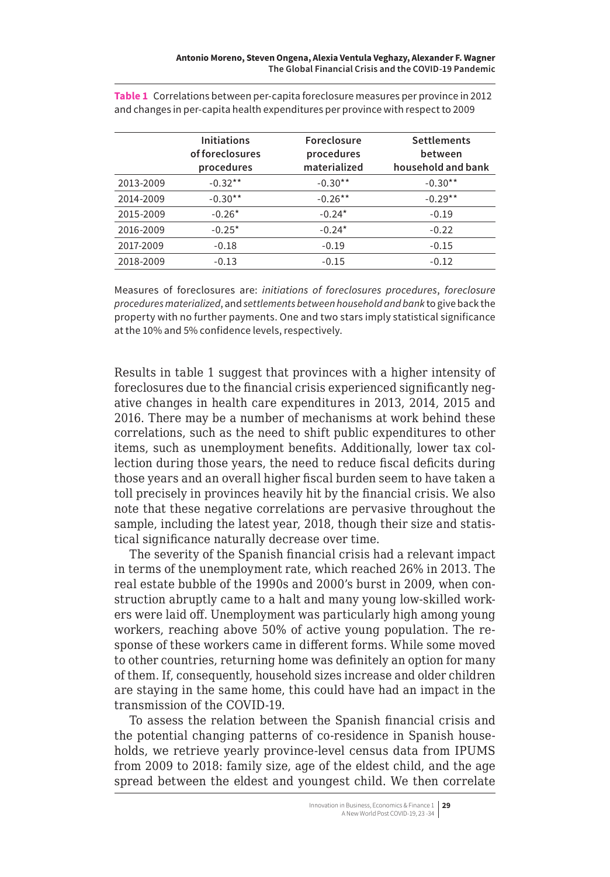|           | <b>Initiations</b><br>of foreclosures<br>procedures | Foreclosure<br>procedures<br>materialized | <b>Settlements</b><br>between<br>household and bank |
|-----------|-----------------------------------------------------|-------------------------------------------|-----------------------------------------------------|
| 2013-2009 | $-0.32**$                                           | $-0.30**$                                 | $-0.30**$                                           |
| 2014-2009 | $-0.30**$                                           | $-0.26**$                                 | $-0.29**$                                           |
| 2015-2009 | $-0.26*$                                            | $-0.24*$                                  | $-0.19$                                             |
| 2016-2009 | $-0.25*$                                            | $-0.24*$                                  | $-0.22$                                             |
| 2017-2009 | $-0.18$                                             | $-0.19$                                   | $-0.15$                                             |
| 2018-2009 | $-0.13$                                             | $-0.15$                                   | $-0.12$                                             |

**Table 1** Correlations between per-capita foreclosure measures per province in 2012 and changes in per-capita health expenditures per province with respect to 2009

Measures of foreclosures are: *initiations of foreclosures procedures*, *foreclosure procedures materialized*, and *settlements between household and bank* to give back the property with no further payments. One and two stars imply statistical significance at the 10% and 5% confidence levels, respectively.

Results in table 1 suggest that provinces with a higher intensity of foreclosures due to the financial crisis experienced significantly negative changes in health care expenditures in 2013, 2014, 2015 and 2016. There may be a number of mechanisms at work behind these correlations, such as the need to shift public expenditures to other items, such as unemployment benefits. Additionally, lower tax collection during those years, the need to reduce fiscal deficits during those years and an overall higher fiscal burden seem to have taken a toll precisely in provinces heavily hit by the financial crisis. We also note that these negative correlations are pervasive throughout the sample, including the latest year, 2018, though their size and statistical significance naturally decrease over time.

The severity of the Spanish financial crisis had a relevant impact in terms of the unemployment rate, which reached 26% in 2013. The real estate bubble of the 1990s and 2000's burst in 2009, when construction abruptly came to a halt and many young low-skilled workers were laid off. Unemployment was particularly high among young workers, reaching above 50% of active young population. The response of these workers came in different forms. While some moved to other countries, returning home was definitely an option for many of them. If, consequently, household sizes increase and older children are staying in the same home, this could have had an impact in the transmission of the COVID-19.

To assess the relation between the Spanish financial crisis and the potential changing patterns of co-residence in Spanish households, we retrieve yearly province-level census data from IPUMS from 2009 to 2018: family size, age of the eldest child, and the age spread between the eldest and youngest child. We then correlate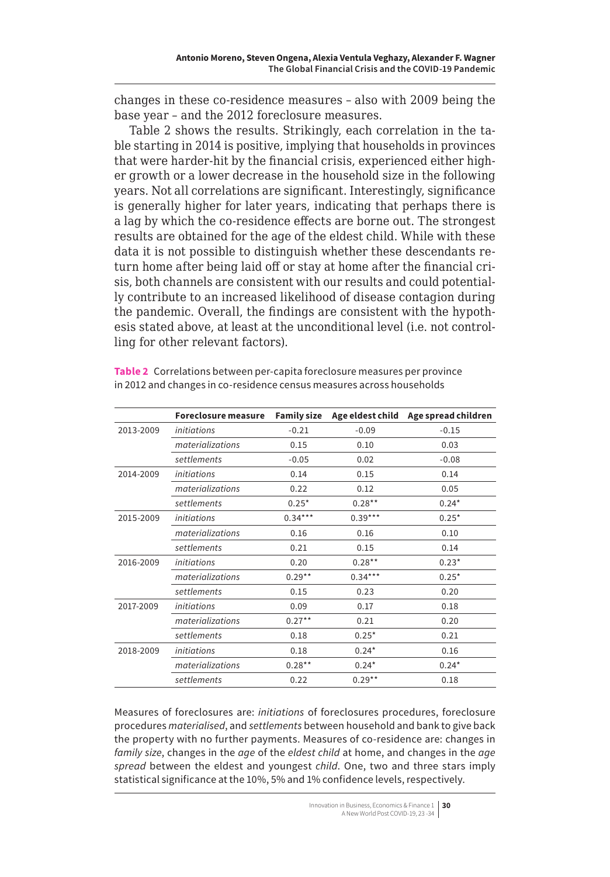changes in these co-residence measures – also with 2009 being the base year – and the 2012 foreclosure measures.

Table 2 shows the results. Strikingly, each correlation in the table starting in 2014 is positive, implying that households in provinces that were harder-hit by the financial crisis, experienced either higher growth or a lower decrease in the household size in the following years. Not all correlations are significant. Interestingly, significance is generally higher for later years, indicating that perhaps there is a lag by which the co-residence effects are borne out. The strongest results are obtained for the age of the eldest child. While with these data it is not possible to distinguish whether these descendants return home after being laid off or stay at home after the financial crisis, both channels are consistent with our results and could potentially contribute to an increased likelihood of disease contagion during the pandemic. Overall, the findings are consistent with the hypothesis stated above, at least at the unconditional level (i.e. not controlling for other relevant factors).

|           | Foreclosure measure | <b>Family size</b> | Age eldest child | Age spread children |
|-----------|---------------------|--------------------|------------------|---------------------|
| 2013-2009 | <i>initiations</i>  | $-0.21$            | $-0.09$          | $-0.15$             |
|           | materializations    | 0.15               | 0.10             | 0.03                |
|           | settlements         | $-0.05$            | 0.02             | $-0.08$             |
| 2014-2009 | <i>initiations</i>  | 0.14               | 0.15             | 0.14                |
|           | materializations    | 0.22               | 0.12             | 0.05                |
|           | settlements         | $0.25*$            | $0.28***$        | $0.24*$             |
| 2015-2009 | <i>initiations</i>  | $0.34***$          | $0.39***$        | $0.25*$             |
|           | materializations    | 0.16               | 0.16             | 0.10                |
|           | settlements         | 0.21               | 0.15             | 0.14                |
| 2016-2009 | <i>initiations</i>  | 0.20               | $0.28***$        | $0.23*$             |
|           | materializations    | $0.29**$           | $0.34***$        | $0.25*$             |
|           | settlements         | 0.15               | 0.23             | 0.20                |
| 2017-2009 | <i>initiations</i>  | 0.09               | 0.17             | 0.18                |
|           | materializations    | $0.27***$          | 0.21             | 0.20                |
|           | settlements         | 0.18               | $0.25*$          | 0.21                |
| 2018-2009 | <i>initiations</i>  | 0.18               | $0.24*$          | 0.16                |
|           | materializations    | $0.28***$          | $0.24*$          | $0.24*$             |
|           | settlements         | 0.22               | $0.29**$         | 0.18                |

**Table 2** Correlations between per-capita foreclosure measures per province in 2012 and changes in co-residence census measures across households

Measures of foreclosures are: *initiations* of foreclosures procedures, foreclosure procedures *materialised*, and *settlements* between household and bank to give back the property with no further payments. Measures of co-residence are: changes in *family size*, changes in the *age* of the *eldest child* at home, and changes in the *age spread* between the eldest and youngest *child*. One, two and three stars imply statistical significance at the 10%, 5% and 1% confidence levels, respectively.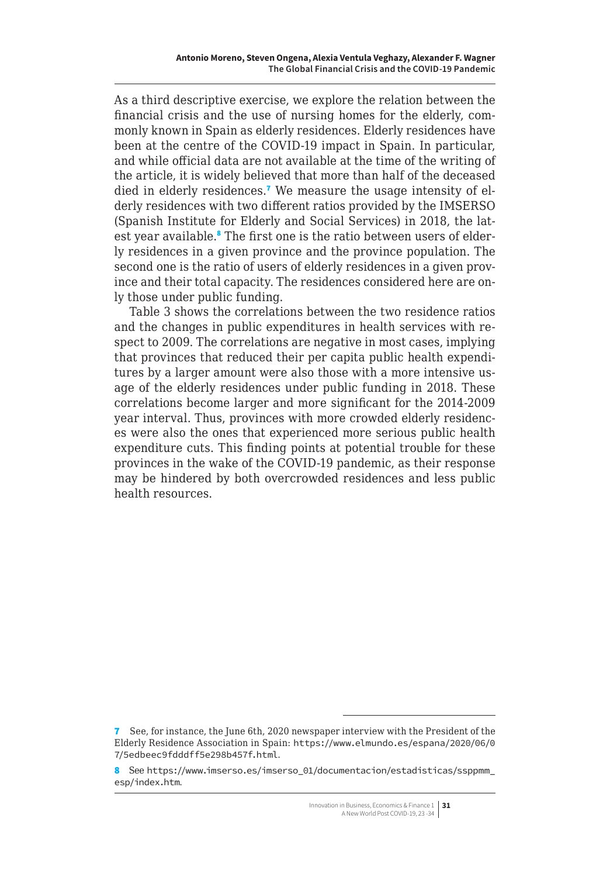As a third descriptive exercise, we explore the relation between the financial crisis and the use of nursing homes for the elderly, commonly known in Spain as elderly residences. Elderly residences have been at the centre of the COVID-19 impact in Spain. In particular, and while official data are not available at the time of the writing of the article, it is widely believed that more than half of the deceased died in elderly residences.<sup>7</sup> We measure the usage intensity of elderly residences with two different ratios provided by the IMSERSO (Spanish Institute for Elderly and Social Services) in 2018, the latest year available.<sup>8</sup> The first one is the ratio between users of elderly residences in a given province and the province population. The second one is the ratio of users of elderly residences in a given province and their total capacity. The residences considered here are only those under public funding.

Table 3 shows the correlations between the two residence ratios and the changes in public expenditures in health services with respect to 2009. The correlations are negative in most cases, implying that provinces that reduced their per capita public health expenditures by a larger amount were also those with a more intensive usage of the elderly residences under public funding in 2018. These correlations become larger and more significant for the 2014-2009 year interval. Thus, provinces with more crowded elderly residences were also the ones that experienced more serious public health expenditure cuts. This finding points at potential trouble for these provinces in the wake of the COVID-19 pandemic, as their response may be hindered by both overcrowded residences and less public health resources.

<sup>7</sup> See, for instance, the June 6th, 2020 newspaper interview with the President of the Elderly Residence Association in Spain: [https://www.elmundo.es/espana/2020/06/0](https://www.elmundo.es/espana/2020/06/07/5edbeec9fdddff5e298b457f.html) [7/5edbeec9fdddff5e298b457f.html](https://www.elmundo.es/espana/2020/06/07/5edbeec9fdddff5e298b457f.html).

<sup>8</sup> See [https://www.imserso.es/imserso\\_01/documentacion/estadisticas/ssppmm\\_](https://www.imserso.es/imserso_01/documentacion/estadisticas/ssppmm_esp/index.htm) [esp/index.htm](https://www.imserso.es/imserso_01/documentacion/estadisticas/ssppmm_esp/index.htm).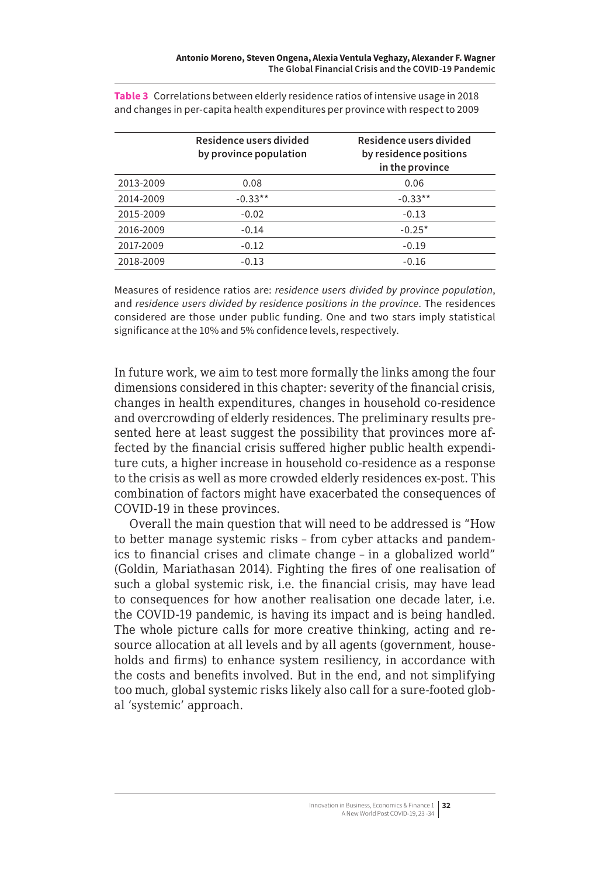|           | Residence users divided<br>by province population | Residence users divided<br>by residence positions<br>in the province |
|-----------|---------------------------------------------------|----------------------------------------------------------------------|
| 2013-2009 | 0.08                                              | 0.06                                                                 |
| 2014-2009 | $-0.33**$                                         | $-0.33**$                                                            |
| 2015-2009 | $-0.02$                                           | $-0.13$                                                              |
| 2016-2009 | $-0.14$                                           | $-0.25*$                                                             |
| 2017-2009 | $-0.12$                                           | $-0.19$                                                              |
| 2018-2009 | $-0.13$                                           | $-0.16$                                                              |

**Table 3** Correlations between elderly residence ratios of intensive usage in 2018 and changes in per-capita health expenditures per province with respect to 2009

Measures of residence ratios are: *residence users divided by province population*, and *residence users divided by residence positions in the province*. The residences considered are those under public funding. One and two stars imply statistical significance at the 10% and 5% confidence levels, respectively.

In future work, we aim to test more formally the links among the four dimensions considered in this chapter: severity of the financial crisis, changes in health expenditures, changes in household co-residence and overcrowding of elderly residences. The preliminary results presented here at least suggest the possibility that provinces more affected by the financial crisis suffered higher public health expenditure cuts, a higher increase in household co-residence as a response to the crisis as well as more crowded elderly residences ex-post. This combination of factors might have exacerbated the consequences of COVID-19 in these provinces.

Overall the main question that will need to be addressed is "How to better manage systemic risks – from cyber attacks and pandemics to financial crises and climate change – in a globalized world" (Goldin, Mariathasan 2014). Fighting the fires of one realisation of such a global systemic risk, i.e. the financial crisis, may have lead to consequences for how another realisation one decade later, i.e. the COVID-19 pandemic, is having its impact and is being handled. The whole picture calls for more creative thinking, acting and resource allocation at all levels and by all agents (government, households and firms) to enhance system resiliency, in accordance with the costs and benefits involved. But in the end, and not simplifying too much, global systemic risks likely also call for a sure-footed global 'systemic' approach.